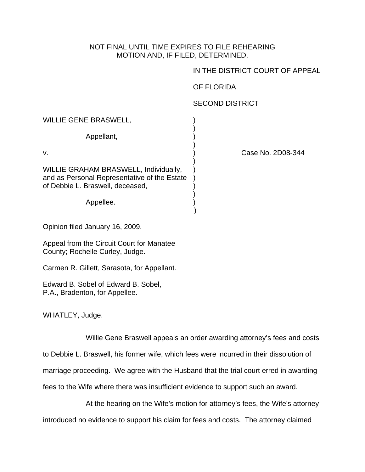## NOT FINAL UNTIL TIME EXPIRES TO FILE REHEARING MOTION AND, IF FILED, DETERMINED.

IN THE DISTRICT COURT OF APPEAL

OF FLORIDA

## SECOND DISTRICT

WILLIE GENE BRASWELL,

 $)$ Appellant, )

v. ) Case No. 2D08-344

WILLIE GRAHAM BRASWELL, Individually, and as Personal Representative of the Estate ) of Debbie L. Braswell, deceased, )

 $)$ 

 $)$ 

 $)$ 

\_\_\_\_\_\_\_\_\_\_\_\_\_\_\_\_\_\_\_\_\_\_\_\_\_\_\_\_\_\_\_\_\_\_\_\_\_\_)

Appellee.

Opinion filed January 16, 2009.

Appeal from the Circuit Court for Manatee County; Rochelle Curley, Judge.

Carmen R. Gillett, Sarasota, for Appellant.

Edward B. Sobel of Edward B. Sobel, P.A., Bradenton, for Appellee.

WHATLEY, Judge.

Willie Gene Braswell appeals an order awarding attorney's fees and costs

to Debbie L. Braswell, his former wife, which fees were incurred in their dissolution of

marriage proceeding. We agree with the Husband that the trial court erred in awarding

fees to the Wife where there was insufficient evidence to support such an award.

At the hearing on the Wife's motion for attorney's fees, the Wife's attorney

introduced no evidence to support his claim for fees and costs. The attorney claimed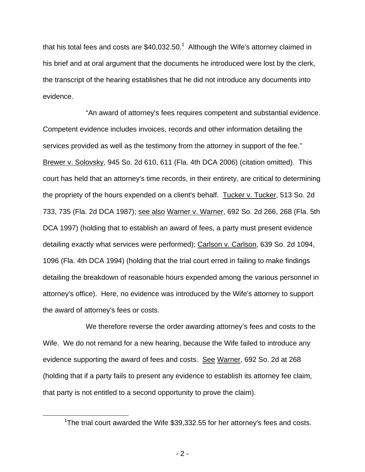that his total fees and costs are \$40,032.50.<sup>1</sup> Although the Wife's attorney claimed in his brief and at oral argument that the documents he introduced were lost by the clerk, the transcript of the hearing establishes that he did not introduce any documents into evidence.

 "An award of attorney's fees requires competent and substantial evidence. Competent evidence includes invoices, records and other information detailing the services provided as well as the testimony from the attorney in support of the fee." Brewer v. Solovsky, 945 So. 2d 610, 611 (Fla. 4th DCA 2006) (citation omitted). This court has held that an attorney's time records, in their entirety, are critical to determining the propriety of the hours expended on a client's behalf. Tucker v. Tucker, 513 So. 2d 733, 735 (Fla. 2d DCA 1987); see also Warner v. Warner, 692 So. 2d 266, 268 (Fla. 5th DCA 1997) (holding that to establish an award of fees, a party must present evidence detailing exactly what services were performed); Carlson v. Carlson, 639 So. 2d 1094, 1096 (Fla. 4th DCA 1994) (holding that the trial court erred in failing to make findings detailing the breakdown of reasonable hours expended among the various personnel in attorney's office). Here, no evidence was introduced by the Wife's attorney to support the award of attorney's fees or costs.

 We therefore reverse the order awarding attorney's fees and costs to the Wife. We do not remand for a new hearing, because the Wife failed to introduce any evidence supporting the award of fees and costs. See Warner, 692 So. 2d at 268 (holding that if a party fails to present any evidence to establish its attorney fee claim, that party is not entitled to a second opportunity to prove the claim).

 <sup>1</sup> <sup>1</sup>The trial court awarded the Wife  $$39,332.55$  for her attorney's fees and costs.